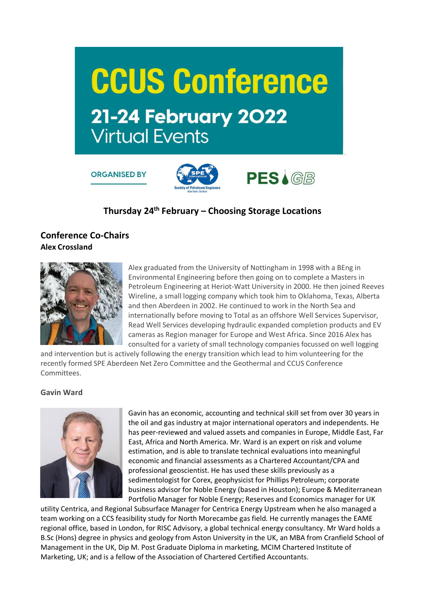

**ORGANISED BY** 



# **Thursday 24th February – Choosing Storage Locations**

# **Conference Co-Chairs Alex Crossland**



Alex graduated from the University of Nottingham in 1998 with a BEng in Environmental Engineering before then going on to complete a Masters in Petroleum Engineering at Heriot-Watt University in 2000. He then joined Reeves Wireline, a small logging company which took him to Oklahoma, Texas, Alberta and then Aberdeen in 2002. He continued to work in the North Sea and internationally before moving to Total as an offshore Well Services Supervisor, Read Well Services developing hydraulic expanded completion products and EV cameras as Region manager for Europe and West Africa. Since 2016 Alex has consulted for a variety of small technology companies focussed on well logging

and intervention but is actively following the energy transition which lead to him volunteering for the recently formed SPE Aberdeen Net Zero Committee and the Geothermal and CCUS Conference Committees.

## **Gavin Ward**



Gavin has an economic, accounting and technical skill set from over 30 years in the oil and gas industry at major international operators and independents. He has peer-reviewed and valued assets and companies in Europe, Middle East, Far East, Africa and North America. Mr. Ward is an expert on risk and volume estimation, and is able to translate technical evaluations into meaningful economic and financial assessments as a Chartered Accountant/CPA and professional geoscientist. He has used these skills previously as a sedimentologist for Corex, geophysicist for Phillips Petroleum; corporate business advisor for Noble Energy (based in Houston); Europe & Mediterranean Portfolio Manager for Noble Energy; Reserves and Economics manager for UK

utility Centrica, and Regional Subsurface Manager for Centrica Energy Upstream when he also managed a team working on a CCS feasibility study for North Morecambe gas field. He currently manages the EAME regional office, based in London, for RISC Advisory, a global technical energy consultancy. Mr Ward holds a B.Sc (Hons) degree in physics and geology from Aston University in the UK, an MBA from Cranfield School of Management in the UK, Dip M. Post Graduate Diploma in marketing, MCIM Chartered Institute of Marketing, UK; and is a fellow of the Association of Chartered Certified Accountants.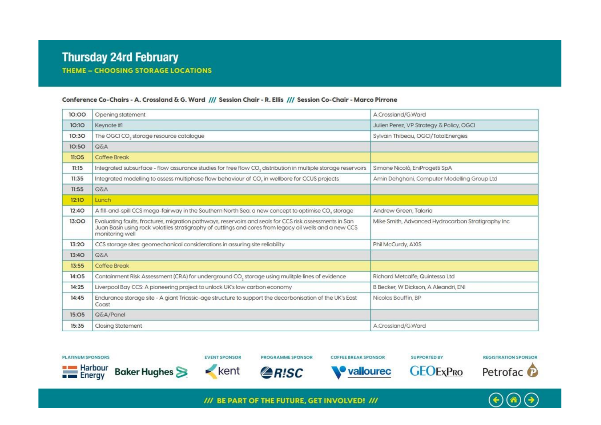#### Conference Co-Chairs - A. Crossland & G. Ward /// Session Chair - R. Ellis /// Session Co-Chair - Marco Pirrone

| 10:00        | Opening statement                                                                                                                                                                                                                   | A.Crossland/G.Ward                                |
|--------------|-------------------------------------------------------------------------------------------------------------------------------------------------------------------------------------------------------------------------------------|---------------------------------------------------|
| 10:10        | Keynote #1                                                                                                                                                                                                                          | Julien Perez, VP Strategy & Policy, OGCI          |
| 10:30        | The OGCI CO <sub>2</sub> storage resource catalogue                                                                                                                                                                                 | Sylvain Thibeau, OGCI/TotalEnergies               |
| 10:50        | <b>A3Q</b>                                                                                                                                                                                                                          |                                                   |
| II:O5        | Coffee Break                                                                                                                                                                                                                        |                                                   |
| 11:15        | Integrated subsurface - flow assurance studies for free flow CO, distribution in multiple storage reservoirs                                                                                                                        | Simone Nicolò, EniProgetti SpA                    |
| 11:35        | Integrated modelling to assess multiphase flow behaviour of CO, in wellbore for CCUS projects                                                                                                                                       | Amin Dehahani, Computer Modelling Group Ltd       |
| 11:55        | <b>A30</b>                                                                                                                                                                                                                          |                                                   |
| <b>12:10</b> | Lunch                                                                                                                                                                                                                               |                                                   |
| 12:40        | A fill-and-spill CCS mega-fairway in the Southern North Sea: a new concept to optimise CO, storage                                                                                                                                  | Andrew Green, Talaria                             |
| 13:00        | Evaluating faults, fractures, migration pathways, reservoirs and seals for CCS risk assessments in San<br>Juan Basin using rock volatiles stratigraphy of cuttings and cores from legacy oil wells and a new CCS<br>monitoring well | Mike Smith, Advanced Hydrocarbon Stratigraphy Inc |
| 13:20        | CCS storage sites: geomechanical considerations in assuring site reliability                                                                                                                                                        | Phil McCurdy, AXIS                                |
| 13:40        | <b>Q&amp;A</b>                                                                                                                                                                                                                      |                                                   |
| 13:55        | Coffee Break                                                                                                                                                                                                                        |                                                   |
| 14:05        | Containment Risk Assessment (CRA) for underground CO <sub>3</sub> storage using mulitple lines of evidence                                                                                                                          | Richard Metcalfe, Quintessa Ltd                   |
| 14:25        | Liverpool Bay CCS: A pioneering project to unlock UK's low carbon economy                                                                                                                                                           | B Becker, W Dickson, A Aleandri, ENI              |
| 14:45        | Endurance storage site - A giant Triassic-age structure to support the decarbonisation of the UK's East<br>Coast                                                                                                                    | Nicolas Bouffin, BP                               |
| 15:O5        | Q&A/Panel                                                                                                                                                                                                                           |                                                   |
| 15:35        | <b>Closing Statement</b>                                                                                                                                                                                                            | A.Crossland/G.Ward                                |

**PLATINUM SPONSORS** 

**EVENT SPONSOR** 

**PROGRAMME SPONSOR** 

**COFFEE BREAK SPONSOR** 

**SUPPORTED BY** 

**GEOE**xPRO













/// BE PART OF THE FUTURE, GET INVOLVED! ///

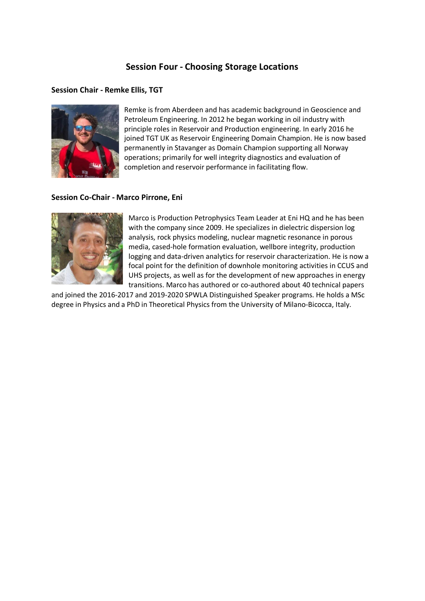# **Session Four - Choosing Storage Locations**

#### **Session Chair - Remke Ellis, TGT**



Remke is from Aberdeen and has academic background in Geoscience and Petroleum Engineering. In 2012 he began working in oil industry with principle roles in Reservoir and Production engineering. In early 2016 he joined TGT UK as Reservoir Engineering Domain Champion. He is now based permanently in Stavanger as Domain Champion supporting all Norway operations; primarily for well integrity diagnostics and evaluation of completion and reservoir performance in facilitating flow.

#### **Session Co-Chair - Marco Pirrone, Eni**



Marco is Production Petrophysics Team Leader at Eni HQ and he has been with the company since 2009. He specializes in dielectric dispersion log analysis, rock physics modeling, nuclear magnetic resonance in porous media, cased-hole formation evaluation, wellbore integrity, production logging and data-driven analytics for reservoir characterization. He is now a focal point for the definition of downhole monitoring activities in CCUS and UHS projects, as well as for the development of new approaches in energy transitions. Marco has authored or co-authored about 40 technical papers

and joined the 2016-2017 and 2019-2020 SPWLA Distinguished Speaker programs. He holds a MSc degree in Physics and a PhD in Theoretical Physics from the University of Milano-Bicocca, Italy.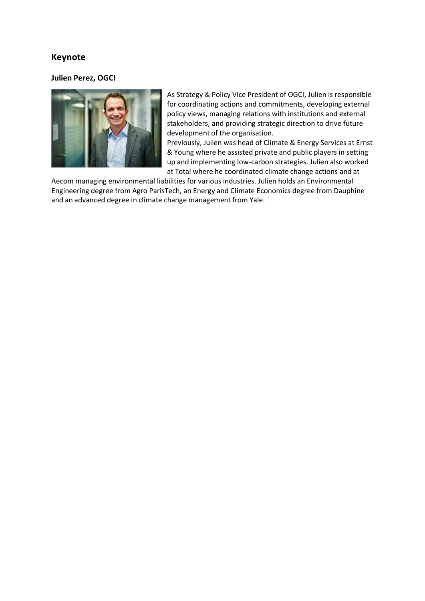# **Keynote**

#### **Julien Perez, OGCI**



As Strategy & Policy Vice President of OGCI, Julien is responsible for coordinating actions and commitments, developing external policy views, managing relations with institutions and external stakeholders, and providing strategic direction to drive future development of the organisation.

Previously, Julien was head of Climate & Energy Services at Ernst & Young where he assisted private and public players in setting up and implementing low-carbon strategies. Julien also worked at Total where he coordinated climate change actions and at

Aecom managing environmental liabilities for various industries. Julien holds an Environmental Engineering degree from Agro ParisTech, an Energy and Climate Economics degree from Dauphine and an advanced degree in climate change management from Yale.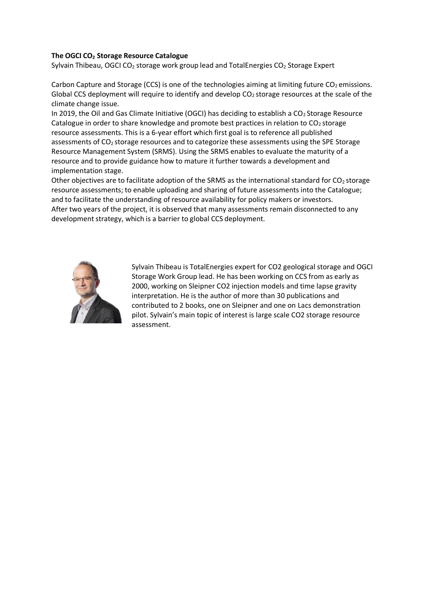#### **The OGCI CO<sup>2</sup> Storage Resource Catalogue**

Sylvain Thibeau, OGCI CO<sub>2</sub> storage work group lead and TotalEnergies CO<sub>2</sub> Storage Expert

Carbon Capture and Storage (CCS) is one of the technologies aiming at limiting future  $CO<sub>2</sub>$  emissions. Global CCS deployment will require to identify and develop  $CO<sub>2</sub>$  storage resources at the scale of the climate change issue.

In 2019, the Oil and Gas Climate Initiative (OGCI) has deciding to establish a  $CO<sub>2</sub>$  Storage Resource Catalogue in order to share knowledge and promote best practices in relation to  $CO<sub>2</sub>$  storage resource assessments. This is a 6-year effort which first goal is to reference all published assessments of CO<sub>2</sub> storage resources and to categorize these assessments using the SPE Storage Resource Management System (SRMS). Using the SRMS enables to evaluate the maturity of a resource and to provide guidance how to mature it further towards a development and implementation stage.

Other objectives are to facilitate adoption of the SRMS as the international standard for  $CO<sub>2</sub>$  storage resource assessments; to enable uploading and sharing of future assessments into the Catalogue; and to facilitate the understanding of resource availability for policy makers or investors. After two years of the project, it is observed that many assessments remain disconnected to any development strategy, which is a barrier to global CCS deployment.



Sylvain Thibeau is TotalEnergies expert for CO2 geological storage and OGCI Storage Work Group lead. He has been working on CCS from as early as 2000, working on Sleipner CO2 injection models and time lapse gravity interpretation. He is the author of more than 30 publications and contributed to 2 books, one on Sleipner and one on Lacs demonstration pilot. Sylvain's main topic of interest is large scale CO2 storage resource assessment.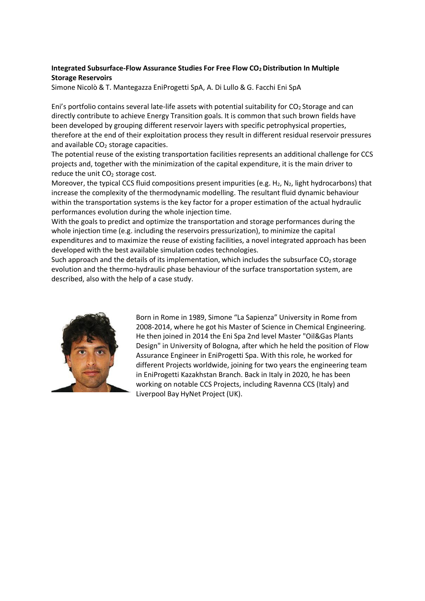## **Integrated Subsurface-Flow Assurance Studies For Free Flow CO2 Distribution In Multiple Storage Reservoirs**

Simone Nicolò & T. Mantegazza EniProgetti SpA, A. Di Lullo & G. Facchi Eni SpA

Eni's portfolio contains several late-life assets with potential suitability for  $CO<sub>2</sub>$  Storage and can directly contribute to achieve Energy Transition goals. It is common that such brown fields have been developed by grouping different reservoir layers with specific petrophysical properties, therefore at the end of their exploitation process they result in different residual reservoir pressures and available  $CO<sub>2</sub>$  storage capacities.

The potential reuse of the existing transportation facilities represents an additional challenge for CCS projects and, together with the minimization of the capital expenditure, it is the main driver to reduce the unit  $CO<sub>2</sub>$  storage cost.

Moreover, the typical CCS fluid compositions present impurities (e.g. H<sub>2</sub>, N<sub>2</sub>, light hydrocarbons) that increase the complexity of the thermodynamic modelling. The resultant fluid dynamic behaviour within the transportation systems is the key factor for a proper estimation of the actual hydraulic performances evolution during the whole injection time.

With the goals to predict and optimize the transportation and storage performances during the whole injection time (e.g. including the reservoirs pressurization), to minimize the capital expenditures and to maximize the reuse of existing facilities, a novel integrated approach has been developed with the best available simulation codes technologies.

Such approach and the details of its implementation, which includes the subsurface  $CO<sub>2</sub>$  storage evolution and the thermo-hydraulic phase behaviour of the surface transportation system, are described, also with the help of a case study.



Born in Rome in 1989, Simone "La Sapienza" University in Rome from 2008-2014, where he got his Master of Science in Chemical Engineering. He then joined in 2014 the Eni Spa 2nd level Master "Oil&Gas Plants Design" in University of Bologna, after which he held the position of Flow Assurance Engineer in EniProgetti Spa. With this role, he worked for different Projects worldwide, joining for two years the engineering team in EniProgetti Kazakhstan Branch. Back in Italy in 2020, he has been working on notable CCS Projects, including Ravenna CCS (Italy) and Liverpool Bay HyNet Project (UK).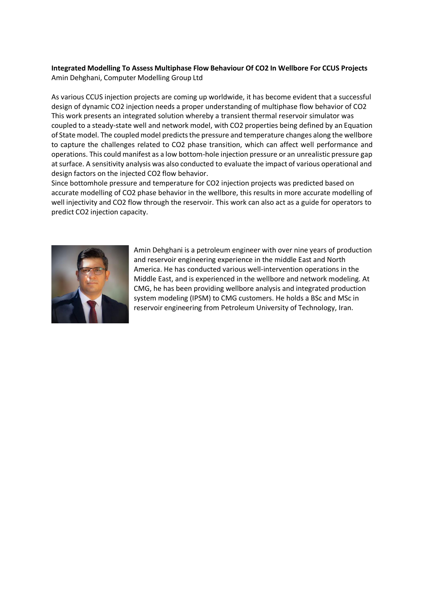## **Integrated Modelling To Assess Multiphase Flow Behaviour Of CO2 In Wellbore For CCUS Projects** Amin Dehghani, Computer Modelling Group Ltd

As various CCUS injection projects are coming up worldwide, it has become evident that a successful design of dynamic CO2 injection needs a proper understanding of multiphase flow behavior of CO2 This work presents an integrated solution whereby a transient thermal reservoir simulator was coupled to a steady-state well and network model, with CO2 properties being defined by an Equation of State model. The coupled model predicts the pressure and temperature changes along the wellbore to capture the challenges related to CO2 phase transition, which can affect well performance and operations. This could manifest as a low bottom-hole injection pressure or an unrealistic pressure gap atsurface. A sensitivity analysis was also conducted to evaluate the impact of various operational and design factors on the injected CO2 flow behavior.

Since bottomhole pressure and temperature for CO2 injection projects was predicted based on accurate modelling of CO2 phase behavior in the wellbore, this results in more accurate modelling of well injectivity and CO2 flow through the reservoir. This work can also act as a guide for operators to predict CO2 injection capacity.



Amin Dehghani is a petroleum engineer with over nine years of production and reservoir engineering experience in the middle East and North America. He has conducted various well-intervention operations in the Middle East, and is experienced in the wellbore and network modeling. At CMG, he has been providing wellbore analysis and integrated production system modeling (IPSM) to CMG customers. He holds a BSc and MSc in reservoir engineering from Petroleum University of Technology, Iran.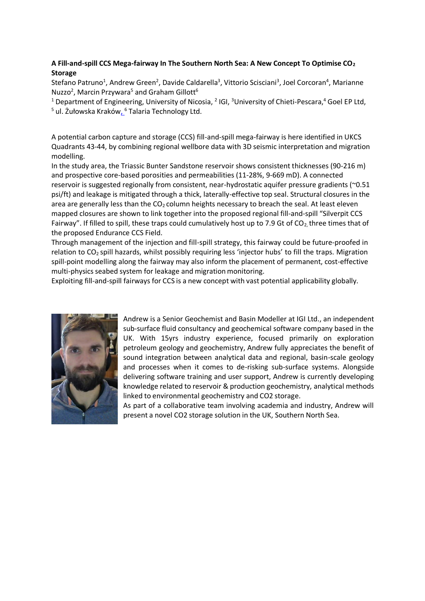## **A Fill-and-spill CCS Mega-fairway In The Southern North Sea: A New Concept To Optimise CO<sup>2</sup> Storage**

Stefano Patruno<sup>1</sup>, Andrew Green<sup>2</sup>, Davide Caldarella<sup>3</sup>, Vittorio Scisciani<sup>3</sup>, Joel Corcoran<sup>4</sup>, Marianne Nuzzo<sup>2</sup>, Marcin Przywara<sup>5</sup> and Graham Gillott<sup>6</sup>

<sup>1</sup> Department of Engineering, University of Nicosia, <sup>2</sup> IGI, <sup>3</sup>University of Chieti-Pescara,<sup>4</sup> Goel EP Ltd, <sup>5</sup> ul. Żułowska Kraków<u>, 6</u> Talaria Technology Ltd.

A potential carbon capture and storage (CCS) fill-and-spill mega-fairway is here identified in UKCS Quadrants 43-44, by combining regional wellbore data with 3D seismic interpretation and migration modelling.

In the study area, the Triassic Bunter Sandstone reservoir shows consistent thicknesses (90-216 m) and prospective core-based porosities and permeabilities (11-28%, 9-669 mD). A connected reservoir is suggested regionally from consistent, near-hydrostatic aquifer pressure gradients (~0.51 psi/ft) and leakage is mitigated through a thick, laterally-effective top seal. Structural closures in the area are generally less than the  $CO<sub>2</sub>$  column heights necessary to breach the seal. At least eleven mapped closures are shown to link together into the proposed regional fill-and-spill "Silverpit CCS Fairway". If filled to spill, these traps could cumulatively host up to 7.9 Gt of  $CO<sub>2</sub>$  three times that of the proposed Endurance CCS Field.

Through management of the injection and fill-spill strategy, this fairway could be future-proofed in relation to CO2 spill hazards, whilst possibly requiring less 'injector hubs' to fill the traps. Migration spill-point modelling along the fairway may also inform the placement of permanent, cost-effective multi-physics seabed system for leakage and migration monitoring.

Exploiting fill-and-spill fairways for CCS is a new concept with vast potential applicability globally.



Andrew is a Senior Geochemist and Basin Modeller at IGI Ltd., an independent sub-surface fluid consultancy and geochemical software company based in the UK. With 15yrs industry experience, focused primarily on exploration petroleum geology and geochemistry, Andrew fully appreciates the benefit of sound integration between analytical data and regional, basin-scale geology and processes when it comes to de-risking sub-surface systems. Alongside delivering software training and user support, Andrew is currently developing knowledge related to reservoir & production geochemistry, analytical methods linked to environmental geochemistry and CO2 storage.

As part of a collaborative team involving academia and industry, Andrew will present a novel CO2 storage solution in the UK, Southern North Sea.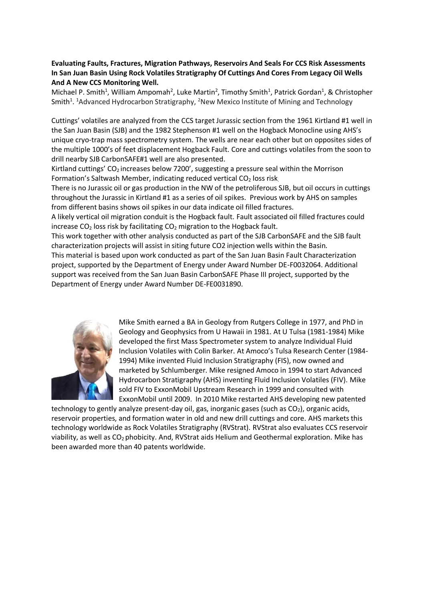#### **Evaluating Faults, Fractures, Migration Pathways, Reservoirs And Seals For CCS Risk Assessments In San Juan Basin Using Rock Volatiles Stratigraphy Of Cuttings And Cores From Legacy Oil Wells And A New CCS Monitoring Well.**

Michael P. Smith<sup>1</sup>, William Ampomah<sup>2</sup>, Luke Martin<sup>2</sup>, Timothy Smith<sup>1</sup>, Patrick Gordan<sup>1</sup>, & Christopher Smith<sup>1</sup>. <sup>1</sup>Advanced Hydrocarbon Stratigraphy, <sup>2</sup>New Mexico Institute of Mining and Technology

Cuttings' volatiles are analyzed from the CCS target Jurassic section from the 1961 Kirtland #1 well in the San Juan Basin (SJB) and the 1982 Stephenson #1 well on the Hogback Monocline using AHS's unique cryo-trap mass spectrometry system. The wells are near each other but on opposites sides of the multiple 1000's of feet displacement Hogback Fault. Core and cuttings volatiles from the soon to drill nearby SJB CarbonSAFE#1 well are also presented.

Kirtland cuttings'  $CO<sub>2</sub>$  increases below 7200', suggesting a pressure seal within the Morrison Formation's Saltwash Member, indicating reduced vertical  $CO<sub>2</sub>$  loss risk.

There is no Jurassic oil or gas production in the NW of the petroliferous SJB, but oil occurs in cuttings throughout the Jurassic in Kirtland #1 as a series of oil spikes. Previous work by AHS on samples from different basins shows oil spikes in our data indicate oil filled fractures.

A likely vertical oil migration conduit is the Hogback fault. Fault associated oil filled fractures could increase  $CO<sub>2</sub>$  loss risk by facilitating  $CO<sub>2</sub>$  migration to the Hogback fault.

This work together with other analysis conducted as part of the SJB CarbonSAFE and the SJB fault characterization projects will assist in siting future CO2 injection wells within the Basin.

This material is based upon work conducted as part of the San Juan Basin Fault Characterization project, supported by the Department of Energy under Award Number DE-F0032064. Additional support was received from the San Juan Basin CarbonSAFE Phase III project, supported by the Department of Energy under Award Number DE-FE0031890.



Mike Smith earned a BA in Geology from Rutgers College in 1977, and PhD in Geology and Geophysics from U Hawaii in 1981. At U Tulsa (1981-1984) Mike developed the first Mass Spectrometer system to analyze Individual Fluid Inclusion Volatiles with Colin Barker. At Amoco's Tulsa Research Center (1984- 1994) Mike invented Fluid Inclusion Stratigraphy (FIS), now owned and marketed by Schlumberger. Mike resigned Amoco in 1994 to start Advanced Hydrocarbon Stratigraphy (AHS) inventing Fluid Inclusion Volatiles (FIV). Mike sold FIV to ExxonMobil Upstream Research in 1999 and consulted with ExxonMobil until 2009. In 2010 Mike restarted AHS developing new patented

technology to gently analyze present-day oil, gas, inorganic gases (such as  $CO<sub>2</sub>$ ), organic acids, reservoir properties, and formation water in old and new drill cuttings and core. AHS markets this technology worldwide as Rock Volatiles Stratigraphy (RVStrat). RVStrat also evaluates CCS reservoir viability, as well as CO<sub>2</sub> phobicity. And, RVStrat aids Helium and Geothermal exploration. Mike has been awarded more than 40 patents worldwide.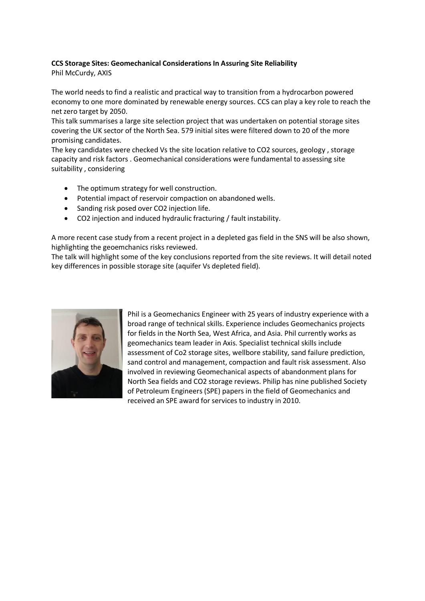#### **CCS Storage Sites: Geomechanical ConsiderationsIn Assuring Site Reliability**

Phil McCurdy, AXIS

The world needs to find a realistic and practical way to transition from a hydrocarbon powered economy to one more dominated by renewable energy sources. CCS can play a key role to reach the net zero target by 2050.

This talk summarises a large site selection project that was undertaken on potential storage sites covering the UK sector of the North Sea. 579 initial sites were filtered down to 20 of the more promising candidates.

The key candidates were checked Vs the site location relative to CO2 sources, geology , storage capacity and risk factors . Geomechanical considerations were fundamental to assessing site suitability , considering

- The optimum strategy for well construction.
- Potential impact of reservoir compaction on abandoned wells.
- Sanding risk posed over CO2 injection life.
- CO2 injection and induced hydraulic fracturing / fault instability.

A more recent case study from a recent project in a depleted gas field in the SNS will be also shown, highlighting the geoemchanics risks reviewed.

The talk will highlight some of the key conclusions reported from the site reviews. It will detail noted key differences in possible storage site (aquifer Vs depleted field).



Phil is a Geomechanics Engineer with 25 years of industry experience with a broad range of technical skills. Experience includes Geomechanics projects for fields in the North Sea, West Africa, and Asia. Phil currently works as geomechanics team leader in Axis. Specialist technical skills include assessment of Co2 storage sites, wellbore stability, sand failure prediction, sand control and management, compaction and fault risk assessment. Also involved in reviewing Geomechanical aspects of abandonment plans for North Sea fields and CO2 storage reviews. Philip has nine published Society of Petroleum Engineers (SPE) papers in the field of Geomechanics and received an SPE award for services to industry in 2010.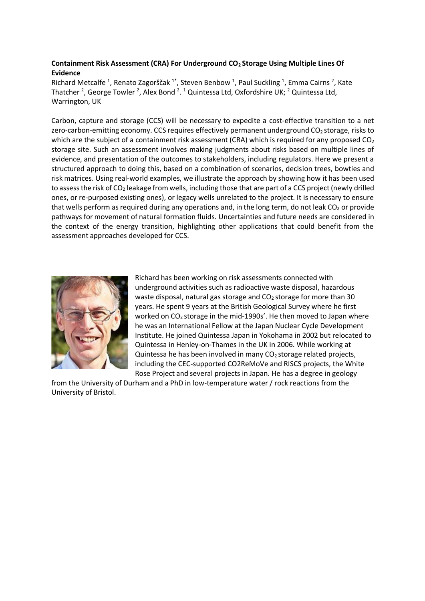## **Containment Risk Assessment (CRA) For Underground CO2 Storage Using Multiple Lines Of Evidence**

Richard Metcalfe<sup>1</sup>, Renato Zagorščak<sup>1\*</sup>, Steven Benbow<sup>1</sup>, Paul Suckling<sup>1</sup>, Emma Cairns<sup>2</sup>, Kate Thatcher<sup>2</sup>, George Towler<sup>2</sup>, Alex Bond<sup>2</sup>.<sup>1</sup> Quintessa Ltd, Oxfordshire UK;<sup>2</sup> Quintessa Ltd, Warrington, UK

Carbon, capture and storage (CCS) will be necessary to expedite a cost-effective transition to a net zero-carbon-emitting economy. CCS requires effectively permanent underground  $CO<sub>2</sub>$  storage, risks to which are the subject of a containment risk assessment (CRA) which is required for any proposed  $CO<sub>2</sub>$ storage site. Such an assessment involves making judgments about risks based on multiple lines of evidence, and presentation of the outcomes to stakeholders, including regulators. Here we present a structured approach to doing this, based on a combination of scenarios, decision trees, bowties and risk matrices. Using real-world examples, we illustrate the approach by showing how it has been used to assess the risk of CO<sub>2</sub> leakage from wells, including those that are part of a CCS project (newly drilled ones, or re-purposed existing ones), or legacy wells unrelated to the project. It is necessary to ensure that wells perform as required during any operations and, in the long term, do not leak  $CO<sub>2</sub>$  or provide pathways for movement of natural formation fluids. Uncertainties and future needs are considered in the context of the energy transition, highlighting other applications that could benefit from the assessment approaches developed for CCS.



Richard has been working on risk assessments connected with underground activities such as radioactive waste disposal, hazardous waste disposal, natural gas storage and  $CO<sub>2</sub>$  storage for more than 30 years. He spent 9 years at the British Geological Survey where he first worked on CO<sub>2</sub> storage in the mid-1990s'. He then moved to Japan where he was an International Fellow at the Japan Nuclear Cycle Development Institute. He joined Quintessa Japan in Yokohama in 2002 but relocated to Quintessa in Henley-on-Thames in the UK in 2006. While working at Quintessa he has been involved in many  $CO<sub>2</sub>$  storage related projects, including the CEC-supported CO2ReMoVe and RISCS projects, the White Rose Project and several projects in Japan. He has a degree in geology

from the University of Durham and a PhD in low-temperature water / rock reactions from the University of Bristol.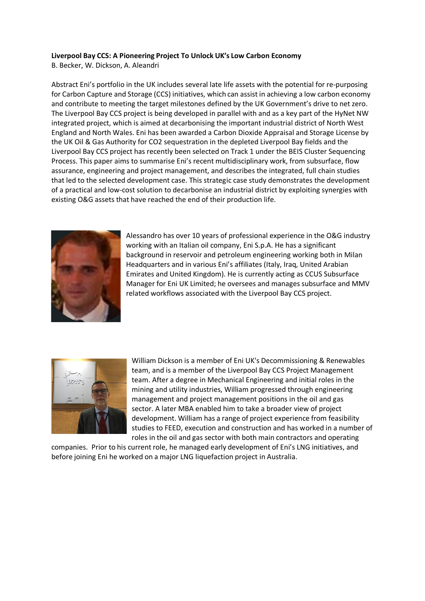#### **Liverpool Bay CCS: A Pioneering Project To Unlock UK's Low Carbon Economy**

B. Becker, W. Dickson, A. Aleandri

Abstract Eni's portfolio in the UK includes several late life assets with the potential for re-purposing for Carbon Capture and Storage (CCS) initiatives, which can assist in achieving a low carbon economy and contribute to meeting the target milestones defined by the UK Government's drive to net zero. The Liverpool Bay CCS project is being developed in parallel with and as a key part of the HyNet NW integrated project, which is aimed at decarbonising the important industrial district of North West England and North Wales. Eni has been awarded a Carbon Dioxide Appraisal and Storage License by the UK Oil & Gas Authority for CO2 sequestration in the depleted Liverpool Bay fields and the Liverpool Bay CCS project has recently been selected on Track 1 under the BEIS Cluster Sequencing Process. This paper aims to summarise Eni's recent multidisciplinary work, from subsurface, flow assurance, engineering and project management, and describes the integrated, full chain studies that led to the selected development case. This strategic case study demonstrates the development of a practical and low-cost solution to decarbonise an industrial district by exploiting synergies with existing O&G assets that have reached the end of their production life.



Alessandro has over 10 years of professional experience in the O&G industry working with an Italian oil company, Eni S.p.A. He has a significant background in reservoir and petroleum engineering working both in Milan Headquarters and in various Eni's affiliates (Italy, Iraq, United Arabian Emirates and United Kingdom). He is currently acting as CCUS Subsurface Manager for Eni UK Limited; he oversees and manages subsurface and MMV related workflows associated with the Liverpool Bay CCS project.



William Dickson is a member of Eni UK's Decommissioning & Renewables team, and is a member of the Liverpool Bay CCS Project Management team. After a degree in Mechanical Engineering and initial roles in the mining and utility industries, William progressed through engineering management and project management positions in the oil and gas sector. A later MBA enabled him to take a broader view of project development. William has a range of project experience from feasibility studies to FEED, execution and construction and has worked in a number of roles in the oil and gas sector with both main contractors and operating

companies. Prior to his current role, he managed early development of Eni's LNG initiatives, and before joining Eni he worked on a major LNG liquefaction project in Australia.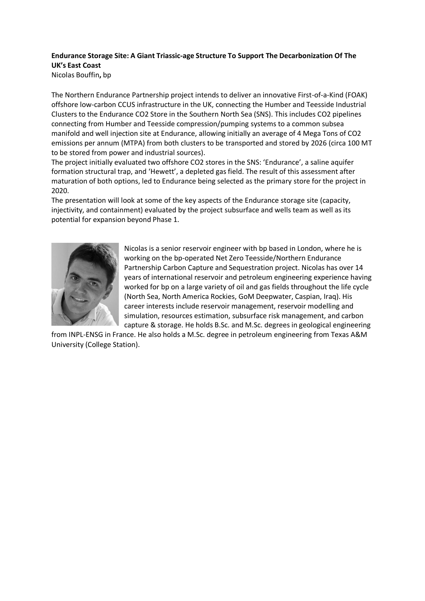# **Endurance Storage Site: A Giant Triassic-age Structure To Support The Decarbonization Of The UK's East Coast**

Nicolas Bouffin**,** bp

The Northern Endurance Partnership project intends to deliver an innovative First-of-a-Kind (FOAK) offshore low-carbon CCUS infrastructure in the UK, connecting the Humber and Teesside Industrial Clusters to the Endurance CO2 Store in the Southern North Sea (SNS). This includes CO2 pipelines connecting from Humber and Teesside compression/pumping systems to a common subsea manifold and well injection site at Endurance, allowing initially an average of 4 Mega Tons of CO2 emissions per annum (MTPA) from both clusters to be transported and stored by 2026 (circa 100 MT to be stored from power and industrial sources).

The project initially evaluated two offshore CO2 stores in the SNS: 'Endurance', a saline aquifer formation structural trap, and 'Hewett', a depleted gas field. The result of this assessment after maturation of both options, led to Endurance being selected as the primary store for the project in 2020.

The presentation will look at some of the key aspects of the Endurance storage site (capacity, injectivity, and containment) evaluated by the project subsurface and wells team as well as its potential for expansion beyond Phase 1.



Nicolas is a senior reservoir engineer with bp based in London, where he is working on the bp-operated Net Zero Teesside/Northern Endurance Partnership Carbon Capture and Sequestration project. Nicolas has over 14 years of international reservoir and petroleum engineering experience having worked for bp on a large variety of oil and gas fields throughout the life cycle (North Sea, North America Rockies, GoM Deepwater, Caspian, Iraq). His career interests include reservoir management, reservoir modelling and simulation, resources estimation, subsurface risk management, and carbon capture & storage. He holds B.Sc. and M.Sc. degrees in geological engineering

from INPL-ENSG in France. He also holds a M.Sc. degree in petroleum engineering from Texas A&M University (College Station).